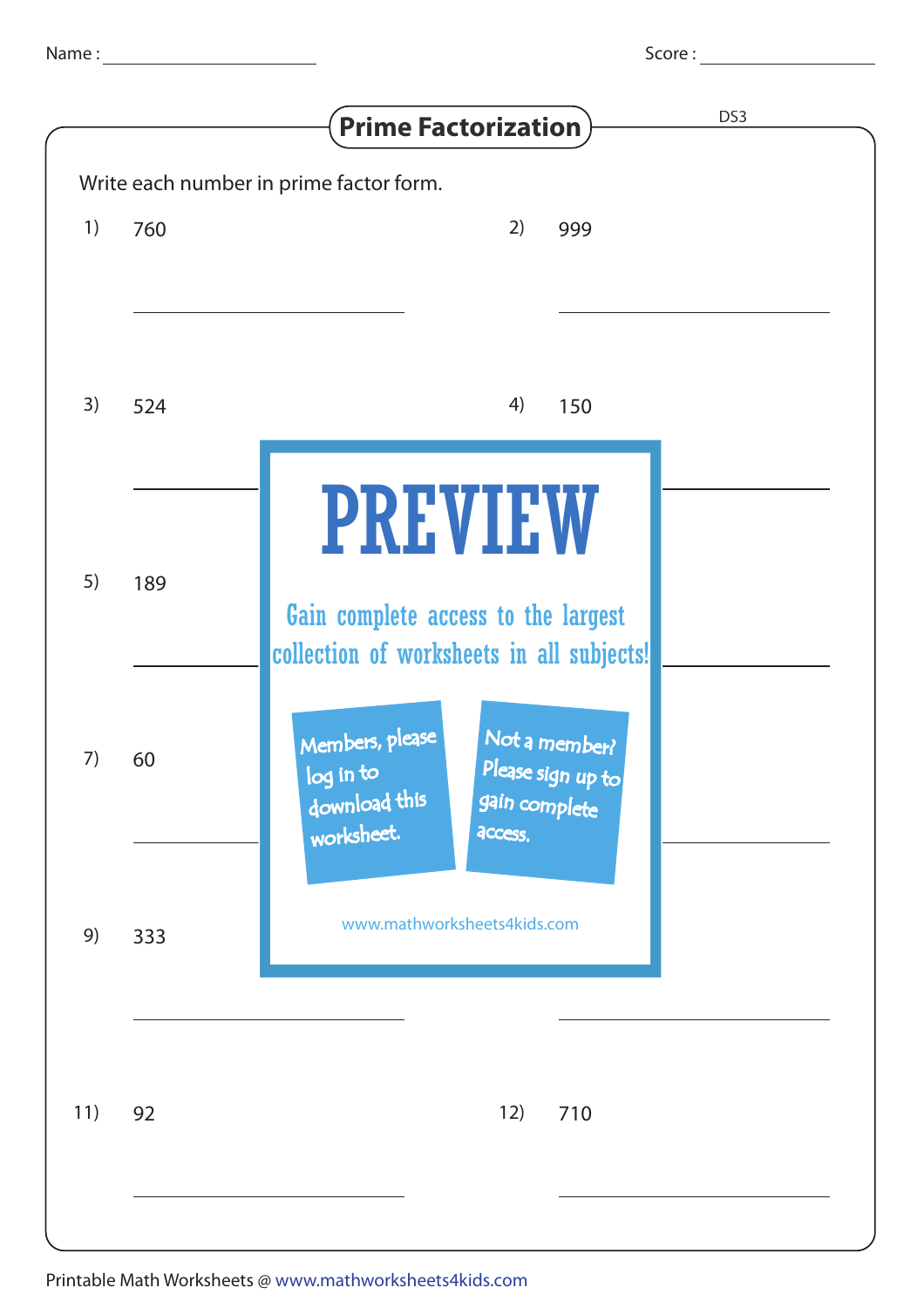| pcore |  |
|-------|--|
|       |  |